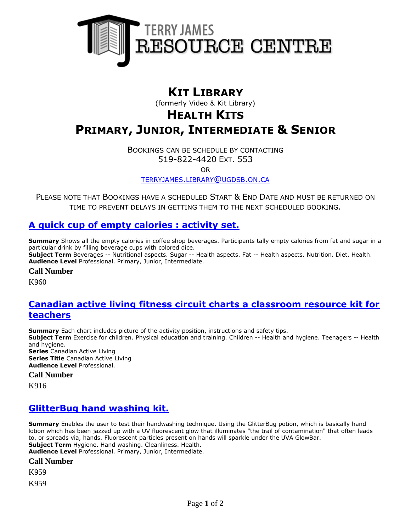

# **KIT LIBRARY**

(formerly Video & Kit Library)

# **HEALTH KITS**

# **PRIMARY, JUNIOR, INTERMEDIATE & SENIOR**

BOOKINGS CAN BE SCHEDULE BY CONTACTING 519-822-4420 EXT. 553

OR

[TERRYJAMES](mailto:terryjames.library@ugdsb.on.ca).LIBRARY@UGDSB.ON.CA

PLEASE NOTE THAT BOOKINGS HAVE A SCHEDULED START & END DATE AND MUST BE RETURNED ON TIME TO PREVENT DELAYS IN GETTING THEM TO THE NEXT SCHEDULED BOOKING.

## **[A quick cup of empty calories : activity set.](https://ug.ent.sirsidynix.net/client/en_CA/TJR/search/detailnonmodal/ent:$002f$002fSD_ILS$002f0$002fSD_ILS:293700/email?)**

**Summary** Shows all the empty calories in coffee shop beverages. Participants tally empty calories from fat and sugar in a particular drink by filling beverage cups with colored dice. **Subject Term** Beverages -- Nutritional aspects. Sugar -- Health aspects. Fat -- Health aspects. Nutrition. Diet. Health. **Audience Level** Professional. Primary, Junior, Intermediate.

#### **Call Number**

K960

#### **[Canadian active living fitness circuit charts a classroom resource kit for](https://ug.ent.sirsidynix.net/client/en_CA/TJR/search/detailnonmodal/ent:$002f$002fSD_ILS$002f0$002fSD_ILS:181778/email?)  [teachers](https://ug.ent.sirsidynix.net/client/en_CA/TJR/search/detailnonmodal/ent:$002f$002fSD_ILS$002f0$002fSD_ILS:181778/email?)**

**Summary** Each chart includes picture of the activity position, instructions and safety tips. **Subject Term** Exercise for children. Physical education and training. Children -- Health and hygiene. Teenagers -- Health and hygiene. **Series** Canadian Active Living

**Series Title** Canadian Active Living **Audience Level** Professional.

#### **Call Number**

K916

## **[GlitterBug hand washing kit.](https://ug.ent.sirsidynix.net/client/en_CA/TJR/search/detailnonmodal/ent:$002f$002fSD_ILS$002f0$002fSD_ILS:293699/email?)**

**Summary** Enables the user to test their handwashing technique. Using the GlitterBug potion, which is basically hand lotion which has been jazzed up with a UV fluorescent glow that illuminates "the trail of contamination" that often leads to, or spreads via, hands. Fluorescent particles present on hands will sparkle under the UVA GlowBar. **Subject Term** Hygiene. Hand washing. Cleanliness. Health. **Audience Level** Professional. Primary, Junior, Intermediate.

#### **Call Number**

K959

K959